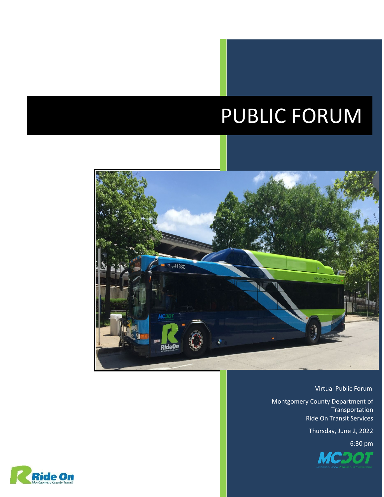## $\overline{\phantom{a}}$ PUBLIC FORUM



Virtual Public Forum

Montgomery County Department of Transportation Ride On Transit Services

Thursday, June 2, 2022



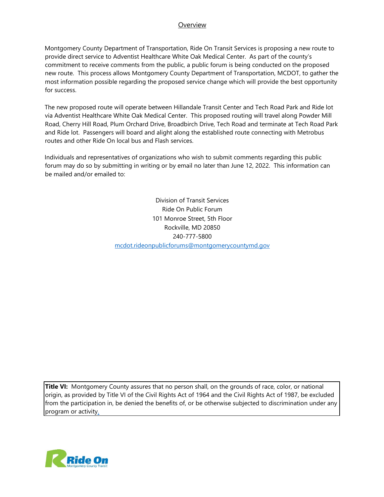## **Overview**

Montgomery County Department of Transportation, Ride On Transit Services is proposing a new route to provide direct service to Adventist Healthcare White Oak Medical Center. As part of the county's commitment to receive comments from the public, a public forum is being conducted on the proposed new route. This process allows Montgomery County Department of Transportation, MCDOT, to gather the most information possible regarding the proposed service change which will provide the best opportunity for success.

The new proposed route will operate between Hillandale Transit Center and Tech Road Park and Ride lot via Adventist Healthcare White Oak Medical Center. This proposed routing will travel along Powder Mill Road, Cherry Hill Road, Plum Orchard Drive, Broadbirch Drive, Tech Road and terminate at Tech Road Park and Ride lot. Passengers will board and alight along the established route connecting with Metrobus routes and other Ride On local bus and Flash services.

Individuals and representatives of organizations who wish to submit comments regarding this public forum may do so by submitting in writing or by email no later than June 12, 2022. This information can be mailed and/or emailed to:

> Division of Transit Services Ride On Public Forum 101 Monroe Street, 5th Floor Rockville, MD 20850 240-777-5800 mcdot.rideonpublicforums@montgomerycountymd.gov

**Title VI:** Montgomery County assures that no person shall, on the grounds of race, color, or national origin, as provided by Title VI of the Civil Rights Act of 1964 and the Civil Rights Act of 1987, be excluded from the participation in, be denied the benefits of, or be otherwise subjected to discrimination under any program or activity.

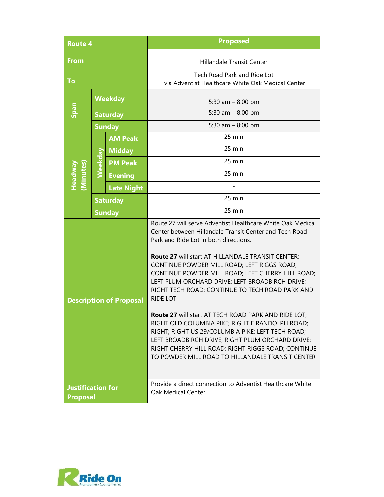| <b>Route 4</b>                              |                 |                   | <b>Proposed</b>                                                                                                                                                                                                                                                                                                                                                                                                                                                                                                                                                                                                                                                                                                                                                              |
|---------------------------------------------|-----------------|-------------------|------------------------------------------------------------------------------------------------------------------------------------------------------------------------------------------------------------------------------------------------------------------------------------------------------------------------------------------------------------------------------------------------------------------------------------------------------------------------------------------------------------------------------------------------------------------------------------------------------------------------------------------------------------------------------------------------------------------------------------------------------------------------------|
| <b>From</b>                                 |                 |                   | Hillandale Transit Center                                                                                                                                                                                                                                                                                                                                                                                                                                                                                                                                                                                                                                                                                                                                                    |
| To                                          |                 |                   | Tech Road Park and Ride Lot<br>via Adventist Healthcare White Oak Medical Center                                                                                                                                                                                                                                                                                                                                                                                                                                                                                                                                                                                                                                                                                             |
|                                             | <b>Weekday</b>  |                   | 5:30 am $-$ 8:00 pm                                                                                                                                                                                                                                                                                                                                                                                                                                                                                                                                                                                                                                                                                                                                                          |
| Span                                        | <b>Saturday</b> |                   | 5:30 am $-$ 8:00 pm                                                                                                                                                                                                                                                                                                                                                                                                                                                                                                                                                                                                                                                                                                                                                          |
|                                             | <b>Sunday</b>   |                   | 5:30 am $-$ 8:00 pm                                                                                                                                                                                                                                                                                                                                                                                                                                                                                                                                                                                                                                                                                                                                                          |
| (Minutes)<br>Headwa                         | Weekday         | <b>AM Peak</b>    | 25 min                                                                                                                                                                                                                                                                                                                                                                                                                                                                                                                                                                                                                                                                                                                                                                       |
|                                             |                 | <b>Midday</b>     | 25 min                                                                                                                                                                                                                                                                                                                                                                                                                                                                                                                                                                                                                                                                                                                                                                       |
|                                             |                 | <b>PM Peak</b>    | 25 min                                                                                                                                                                                                                                                                                                                                                                                                                                                                                                                                                                                                                                                                                                                                                                       |
|                                             |                 | <b>Evening</b>    | 25 min                                                                                                                                                                                                                                                                                                                                                                                                                                                                                                                                                                                                                                                                                                                                                                       |
|                                             |                 | <b>Late Night</b> |                                                                                                                                                                                                                                                                                                                                                                                                                                                                                                                                                                                                                                                                                                                                                                              |
|                                             | <b>Saturday</b> |                   | 25 min                                                                                                                                                                                                                                                                                                                                                                                                                                                                                                                                                                                                                                                                                                                                                                       |
| <b>Sunday</b>                               |                 |                   | $25$ min                                                                                                                                                                                                                                                                                                                                                                                                                                                                                                                                                                                                                                                                                                                                                                     |
| <b>Description of Proposal</b>              |                 |                   | Route 27 will serve Adventist Healthcare White Oak Medical<br>Center between Hillandale Transit Center and Tech Road<br>Park and Ride Lot in both directions.<br>Route 27 will start AT HILLANDALE TRANSIT CENTER;<br>CONTINUE POWDER MILL ROAD; LEFT RIGGS ROAD;<br>CONTINUE POWDER MILL ROAD; LEFT CHERRY HILL ROAD;<br>LEFT PLUM ORCHARD DRIVE; LEFT BROADBIRCH DRIVE;<br>RIGHT TECH ROAD; CONTINUE TO TECH ROAD PARK AND<br><b>RIDE LOT</b><br>Route 27 will start AT TECH ROAD PARK AND RIDE LOT;<br>RIGHT OLD COLUMBIA PIKE; RIGHT E RANDOLPH ROAD;<br>RIGHT; RIGHT US 29/COLUMBIA PIKE; LEFT TECH ROAD;<br>LEFT BROADBIRCH DRIVE; RIGHT PLUM ORCHARD DRIVE;<br>RIGHT CHERRY HILL ROAD; RIGHT RIGGS ROAD; CONTINUE<br>TO POWDER MILL ROAD TO HILLANDALE TRANSIT CENTER |
| <b>Justification for</b><br><b>Proposal</b> |                 |                   | Provide a direct connection to Adventist Healthcare White<br>Oak Medical Center.                                                                                                                                                                                                                                                                                                                                                                                                                                                                                                                                                                                                                                                                                             |